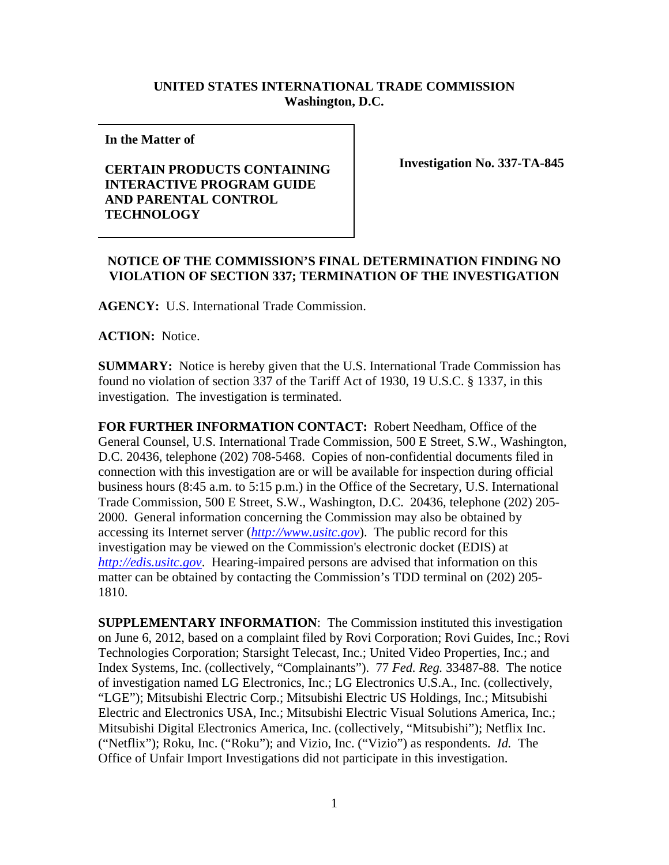## **UNITED STATES INTERNATIONAL TRADE COMMISSION Washington, D.C.**

**In the Matter of** 

## **CERTAIN PRODUCTS CONTAINING INTERACTIVE PROGRAM GUIDE AND PARENTAL CONTROL TECHNOLOGY**

**Investigation No. 337-TA-845**

## **NOTICE OF THE COMMISSION'S FINAL DETERMINATION FINDING NO VIOLATION OF SECTION 337; TERMINATION OF THE INVESTIGATION**

**AGENCY:** U.S. International Trade Commission.

**ACTION:** Notice.

**SUMMARY:** Notice is hereby given that the U.S. International Trade Commission has found no violation of section 337 of the Tariff Act of 1930, 19 U.S.C. § 1337, in this investigation. The investigation is terminated.

**FOR FURTHER INFORMATION CONTACT:** Robert Needham, Office of the General Counsel, U.S. International Trade Commission, 500 E Street, S.W., Washington, D.C. 20436, telephone (202) 708-5468. Copies of non-confidential documents filed in connection with this investigation are or will be available for inspection during official business hours (8:45 a.m. to 5:15 p.m.) in the Office of the Secretary, U.S. International Trade Commission, 500 E Street, S.W., Washington, D.C. 20436, telephone (202) 205- 2000. General information concerning the Commission may also be obtained by accessing its Internet server (*http://www.usitc.gov*). The public record for this investigation may be viewed on the Commission's electronic docket (EDIS) at *http://edis.usitc.gov*. Hearing-impaired persons are advised that information on this matter can be obtained by contacting the Commission's TDD terminal on (202) 205- 1810.

**SUPPLEMENTARY INFORMATION**: The Commission instituted this investigation on June 6, 2012, based on a complaint filed by Rovi Corporation; Rovi Guides, Inc.; Rovi Technologies Corporation; Starsight Telecast, Inc.; United Video Properties, Inc.; and Index Systems, Inc. (collectively, "Complainants"). 77 *Fed. Reg.* 33487-88. The notice of investigation named LG Electronics, Inc.; LG Electronics U.S.A., Inc. (collectively, "LGE"); Mitsubishi Electric Corp.; Mitsubishi Electric US Holdings, Inc.; Mitsubishi Electric and Electronics USA, Inc.; Mitsubishi Electric Visual Solutions America, Inc.; Mitsubishi Digital Electronics America, Inc. (collectively, "Mitsubishi"); Netflix Inc. ("Netflix"); Roku, Inc. ("Roku"); and Vizio, Inc. ("Vizio") as respondents. *Id.* The Office of Unfair Import Investigations did not participate in this investigation.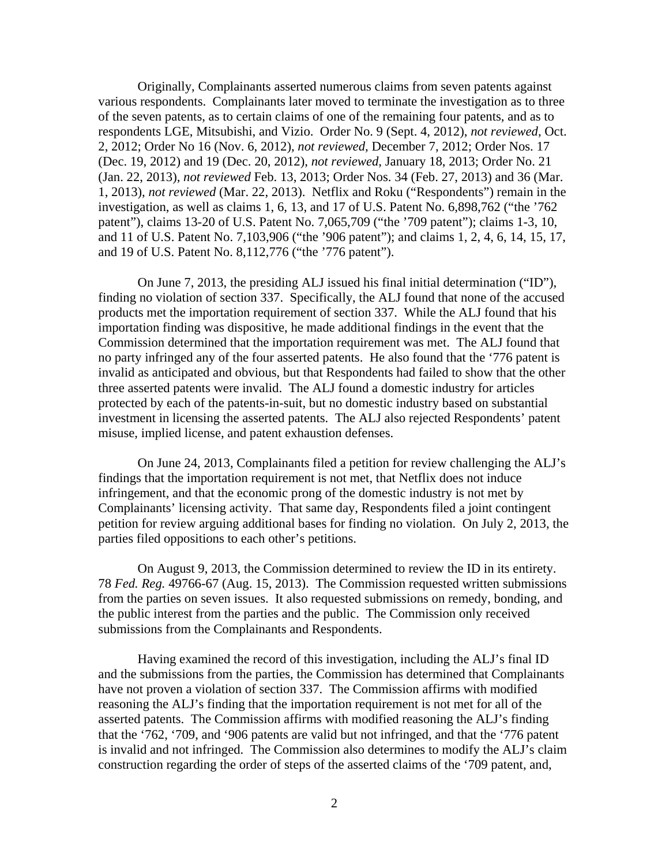Originally, Complainants asserted numerous claims from seven patents against various respondents. Complainants later moved to terminate the investigation as to three of the seven patents, as to certain claims of one of the remaining four patents, and as to respondents LGE, Mitsubishi, and Vizio. Order No. 9 (Sept. 4, 2012), *not reviewed*, Oct. 2, 2012; Order No 16 (Nov. 6, 2012), *not reviewed*, December 7, 2012; Order Nos. 17 (Dec. 19, 2012) and 19 (Dec. 20, 2012), *not reviewed*, January 18, 2013; Order No. 21 (Jan. 22, 2013), *not reviewed* Feb. 13, 2013; Order Nos. 34 (Feb. 27, 2013) and 36 (Mar. 1, 2013), *not reviewed* (Mar. 22, 2013). Netflix and Roku ("Respondents") remain in the investigation, as well as claims 1, 6, 13, and 17 of U.S. Patent No. 6,898,762 ("the '762 patent"), claims 13-20 of U.S. Patent No. 7,065,709 ("the '709 patent"); claims 1-3, 10, and 11 of U.S. Patent No. 7,103,906 ("the '906 patent"); and claims 1, 2, 4, 6, 14, 15, 17, and 19 of U.S. Patent No. 8,112,776 ("the '776 patent").

On June 7, 2013, the presiding ALJ issued his final initial determination ("ID"), finding no violation of section 337. Specifically, the ALJ found that none of the accused products met the importation requirement of section 337. While the ALJ found that his importation finding was dispositive, he made additional findings in the event that the Commission determined that the importation requirement was met. The ALJ found that no party infringed any of the four asserted patents. He also found that the '776 patent is invalid as anticipated and obvious, but that Respondents had failed to show that the other three asserted patents were invalid. The ALJ found a domestic industry for articles protected by each of the patents-in-suit, but no domestic industry based on substantial investment in licensing the asserted patents. The ALJ also rejected Respondents' patent misuse, implied license, and patent exhaustion defenses.

On June 24, 2013, Complainants filed a petition for review challenging the ALJ's findings that the importation requirement is not met, that Netflix does not induce infringement, and that the economic prong of the domestic industry is not met by Complainants' licensing activity. That same day, Respondents filed a joint contingent petition for review arguing additional bases for finding no violation. On July 2, 2013, the parties filed oppositions to each other's petitions.

On August 9, 2013, the Commission determined to review the ID in its entirety. 78 *Fed. Reg.* 49766-67 (Aug. 15, 2013). The Commission requested written submissions from the parties on seven issues. It also requested submissions on remedy, bonding, and the public interest from the parties and the public. The Commission only received submissions from the Complainants and Respondents.

 Having examined the record of this investigation, including the ALJ's final ID and the submissions from the parties, the Commission has determined that Complainants have not proven a violation of section 337. The Commission affirms with modified reasoning the ALJ's finding that the importation requirement is not met for all of the asserted patents. The Commission affirms with modified reasoning the ALJ's finding that the '762, '709, and '906 patents are valid but not infringed, and that the '776 patent is invalid and not infringed. The Commission also determines to modify the ALJ's claim construction regarding the order of steps of the asserted claims of the '709 patent, and,